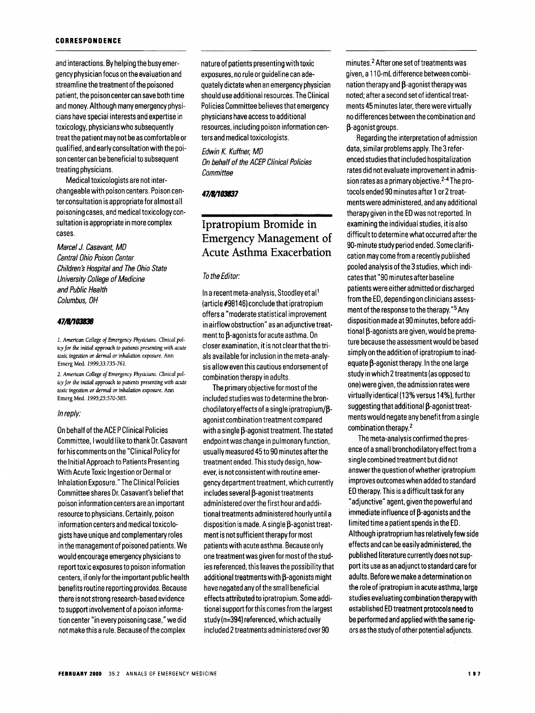## **CORRESPONDENCE**

and interactions. By helping the busy emergency physician focus on the evaluation and streamline the treatment of the poisoned patient, the poison center can save both time and money. Although many emergency physicians have special interests and expertise in toxicology, physicians who subsequently treat the patient may not be as comfortable or qualified, and early consultation with the poison center can be beneficial to subsequent treating physicians.

Medical toxicologists are not interchangeable with poison centers. Poison center consultation is appropriate for almost all poisoning cases, and medical toxicology consultation is appropriate in more complex cases.

Marcel J. Casavant, MO Central Ohio Poison Center Children's Hospital and The Ohio State University College of Medicine and Public Health Columbus, OH

## *41/B11031l3B*

*1. American College of Emergency Physidans. Clinical policy for the initial approach to patients presenting with acute toxic ingestion or dermal or inhalation exposure.* Ann Emerg Med. 1999;33:735-761.

*2. American College of Emergency Physicians. Clinical pol*icy *for the initial approach to patients presenting with acute toxic ingestion or dermal or inhalation exposure.* Ann Emerg Med. 1995;25:570-585.

## In reply:

On behalf of the ACE P Clinical Policies Committee, I would like to thank Dr. Casavant for his comments onthe "Clinical Policy for the Initial Approach to Patients Presenting With Acute Toxic Ingestion or Dermal or Inhalation Exposure." The Clinical Policies Committee shares Dr. Casavant's belief that poison information centers are an important resource to physicians. Certainly, poison information centers and medical toxicologists have unique and complementary roles in the management of poisoned patients. We would encourage emergency physicians to report toxic exposures to poison information centers, if only for the important public health benefits routine reporting provides. Because there is not strong research-based evidence to support involvement of a poison information center "in every poisoning case," we did not make this a rule. Because of the complex

nature of patients presenting with toxic exposures, no rule or guideline can adequately dictate when an emergency physician should use additional resources. The Clinical Policies Committee believes that emergency physicians have access to additional resources, including poison information centers and medical toxicologists.

Edwin K. Kuffner, MO On behalf of the ACEP Clinical Policies **Committee** 

## *41/B11031131*

# Ipratropium Bromide in Emergency Management of Acute Asthma Exacerbation

#### To the Editor:

In a recent meta-analysis, Stoodley et al<sup>1</sup> (article#98146) conclude that ipratropium offers a "moderate statistical improvement in airflow obstruction" as an adjunctive treat $m$ ent to  $\beta$ -agonists for acute asthma. On closer examination, it is not clearthatthe trials available for inclusion in the meta-analysis allow even this cautious endorsement of combination therapy in adults.

The primary objective for most of the included studies was to determine the bronchodilatory effects of a single ipratropium/ $\beta$ agonist combination treatment compared with a single  $\beta$ -agonist treatment. The stated endpoint was change in pulmonary function, usually measured 45 to 90 minutes after the treatment ended. This study design, however, is not consistent with routine emergency department treatment, which currently  $includes several  $\beta$ -agonist treatments$ administered overthe first hour and additional treatments administered hourly until a disposition is made. A single  $\beta$ -agonist treatment is not sufficient therapy for most patients with acute asthma. Because only one treatment was given for most of the studies referenced, this leaves the possibilitythat additional treatments with  $\beta$ -agonists might have negated any of the small beneficial effects attributed to ipratropium. Some additional support for this comes from the largest study (n=394) referenced, which actually included 2 treatments administered over 90

minutes.<sup>2</sup> After one set of treatments was given, a 11 O-mL difference between combination therapy and  $\beta$ -agonist therapy was noted; after a second set of identical treatments 45 minutes later, there were virtually no differences between the combination and  $\beta$ -agonist groups.

Regarding the interpretation of admission data, similar problems apply. The 3 referenced studies that included hospitalization rates did not evaluate improvement in admission rates as a primary objective. 2-4 The protocols ended 90 minutes after 1 or 2 treatments were administered, and any additional therapy given in the ED was not reported. In examining the individual studies, it is also difficult to determine what occurred after the 90-minute study period ended. Some clarification may come from a recently published pooled analysis of the 3 studies, which indicates that "90 minutes after baseline patients were either admitted or discharged from the ED, depending on clinicians assessment of the response to the therapy. "5 Any disposition made at 90 minutes, before addi $t$ ional  $\beta$ -agonists are given, would be premature because the assessment would be based simply on the addition of ipratropium to inad $e$ quate  $\beta$ -agonist therapy. In the one large study in which 2 treatments (as opposed to one) were given, the admission rates were virtually identical (13% versus 14%), further suggesting that additional  $\beta$ -agonist treatments would negate any benefit from a single combination therapy. 2

The meta-analysis confirmed the presence of a small bronchodilatory effect from a single combined treatment but did not answer the question of whether ipratropium improves outcomes when added to standard ED therapy. This is a difficult task for any "adjunctive" agent, given the powerful and immediate influence of  $\beta$ -agonists and the limited time a patient spends in the ED. Although ipratroprium has relatively few side effects and can be easily administered, the published literature currently does not support its use as an adjunct to standard care for adults. Before we make a determination on the role of ipratropium in acute asthma, large studies evaluating combination therapy with established ED treatment protocols need to be performed and applied with the same rigors as the study of other potential adjuncts.